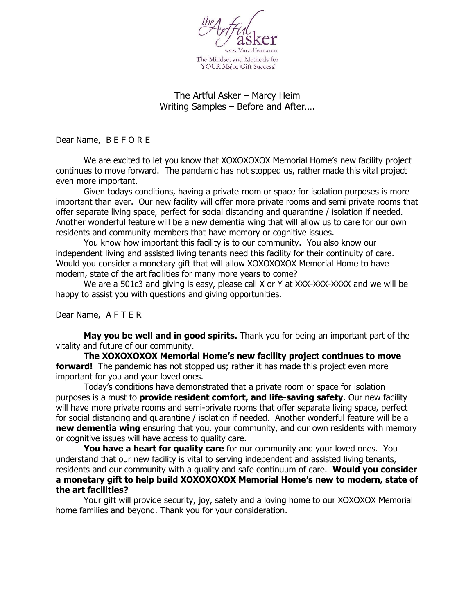

## The Artful Asker – Marcy Heim Writing Samples – Before and After….

Dear Name, B E F O R E

We are excited to let you know that XOXOXOXOX Memorial Home's new facility project continues to move forward. The pandemic has not stopped us, rather made this vital project even more important.

Given todays conditions, having a private room or space for isolation purposes is more important than ever. Our new facility will offer more private rooms and semi private rooms that offer separate living space, perfect for social distancing and quarantine / isolation if needed. Another wonderful feature will be a new dementia wing that will allow us to care for our own residents and community members that have memory or cognitive issues.

You know how important this facility is to our community. You also know our independent living and assisted living tenants need this facility for their continuity of care. Would you consider a monetary gift that will allow XOXOXOXOX Memorial Home to have modern, state of the art facilities for many more years to come?

We are a 501c3 and giving is easy, please call X or Y at XXX-XXX-XXXX and we will be happy to assist you with questions and giving opportunities.

Dear Name, A F T E R

**May you be well and in good spirits.** Thank you for being an important part of the vitality and future of our community.

**The XOXOXOXOX Memorial Home's new facility project continues to move forward!** The pandemic has not stopped us; rather it has made this project even more important for you and your loved ones.

Today's conditions have demonstrated that a private room or space for isolation purposes is a must to **provide resident comfort, and life-saving safety**. Our new facility will have more private rooms and semi-private rooms that offer separate living space, perfect for social distancing and quarantine / isolation if needed. Another wonderful feature will be a **new dementia wing** ensuring that you, your community, and our own residents with memory or cognitive issues will have access to quality care.

**You have a heart for quality care** for our community and your loved ones. You understand that our new facility is vital to serving independent and assisted living tenants, residents and our community with a quality and safe continuum of care. **Would you consider a monetary gift to help build XOXOXOXOX Memorial Home's new to modern, state of the art facilities?** 

Your gift will provide security, joy, safety and a loving home to our XOXOXOX Memorial home families and beyond. Thank you for your consideration.